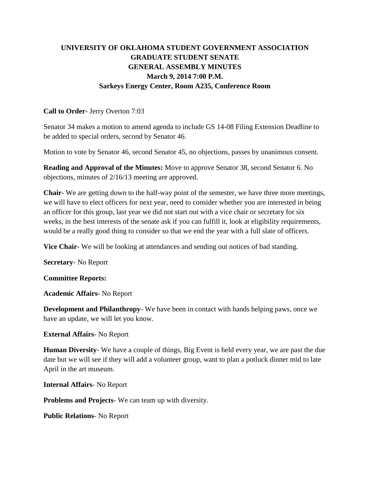# **UNIVERSITY OF OKLAHOMA STUDENT GOVERNMENT ASSOCIATION GRADUATE STUDENT SENATE GENERAL ASSEMBLY MINUTES March 9, 2014 7:00 P.M. Sarkeys Energy Center, Room A235, Conference Room**

#### **Call to Order**- Jerry Overton 7:03

Senator 34 makes a motion to amend agenda to include GS 14-08 Filing Extension Deadline to be added to special orders, second by Senator 46.

Motion to vote by Senator 46, second Senator 45, no objections, passes by unanimous consent.

**Reading and Approval of the Minutes:** Move to approve Senator 38, second Senator 6. No objections, minutes of 2/16/13 meeting are approved.

**Chair**- We are getting down to the half-way point of the semester, we have three more meetings, we will have to elect officers for next year, need to consider whether you are interested in being an officer for this group, last year we did not start out with a vice chair or secretary for six weeks, in the best interests of the senate ask if you can fulfill it, look at eligibility requirements, would be a really good thing to consider so that we end the year with a full slate of officers.

**Vice Chair**- We will be looking at attendances and sending out notices of bad standing.

**Secretary**- No Report

**Committee Reports:** 

**Academic Affairs**- No Report

**Development and Philanthropy**- We have been in contact with hands helping paws, once we have an update, we will let you know.

### **External Affairs**- No Report

**Human Diversity**- We have a couple of things, Big Event is held every year, we are past the due date but we will see if they will add a volunteer group, want to plan a potluck dinner mid to late April in the art museum.

**Internal Affairs**- No Report

**Problems and Projects**- We can team up with diversity.

**Public Relations**- No Report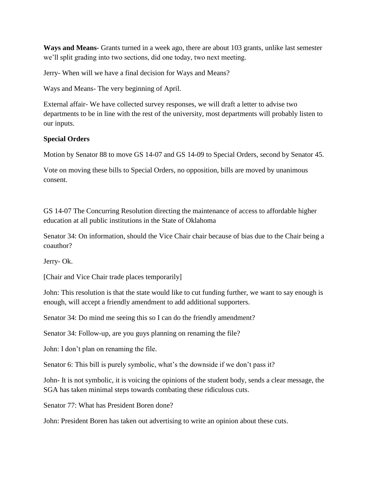**Ways and Means**- Grants turned in a week ago, there are about 103 grants, unlike last semester we'll split grading into two sections, did one today, two next meeting.

Jerry- When will we have a final decision for Ways and Means?

Ways and Means- The very beginning of April.

External affair- We have collected survey responses, we will draft a letter to advise two departments to be in line with the rest of the university, most departments will probably listen to our inputs.

### **Special Orders**

Motion by Senator 88 to move GS 14-07 and GS 14-09 to Special Orders, second by Senator 45.

Vote on moving these bills to Special Orders, no opposition, bills are moved by unanimous consent.

GS 14-07 The Concurring Resolution directing the maintenance of access to affordable higher education at all public institutions in the State of Oklahoma

Senator 34: On information, should the Vice Chair chair because of bias due to the Chair being a coauthor?

Jerry- Ok.

[Chair and Vice Chair trade places temporarily]

John: This resolution is that the state would like to cut funding further, we want to say enough is enough, will accept a friendly amendment to add additional supporters.

Senator 34: Do mind me seeing this so I can do the friendly amendment?

Senator 34: Follow-up, are you guys planning on renaming the file?

John: I don't plan on renaming the file.

Senator 6: This bill is purely symbolic, what's the downside if we don't pass it?

John- It is not symbolic, it is voicing the opinions of the student body, sends a clear message, the SGA has taken minimal steps towards combating these ridiculous cuts.

Senator 77: What has President Boren done?

John: President Boren has taken out advertising to write an opinion about these cuts.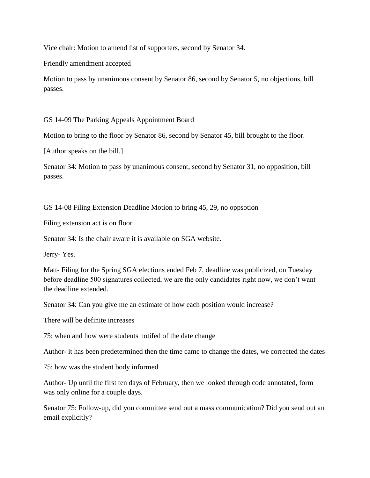Vice chair: Motion to amend list of supporters, second by Senator 34.

Friendly amendment accepted

Motion to pass by unanimous consent by Senator 86, second by Senator 5, no objections, bill passes.

GS 14-09 The Parking Appeals Appointment Board

Motion to bring to the floor by Senator 86, second by Senator 45, bill brought to the floor.

[Author speaks on the bill.]

Senator 34: Motion to pass by unanimous consent, second by Senator 31, no opposition, bill passes.

GS 14-08 Filing Extension Deadline Motion to bring 45, 29, no oppsotion

Filing extension act is on floor

Senator 34: Is the chair aware it is available on SGA website.

Jerry- Yes.

Matt- Filing for the Spring SGA elections ended Feb 7, deadline was publicized, on Tuesday before deadline 500 signatures collected, we are the only candidates right now, we don't want the deadline extended.

Senator 34: Can you give me an estimate of how each position would increase?

There will be definite increases

75: when and how were students notifed of the date change

Author- it has been predetermined then the time came to change the dates, we corrected the dates

75: how was the student body informed

Author- Up until the first ten days of February, then we looked through code annotated, form was only online for a couple days.

Senator 75: Follow-up, did you committee send out a mass communication? Did you send out an email explicitly?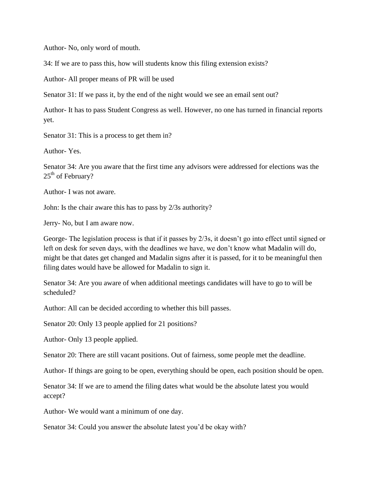Author- No, only word of mouth.

34: If we are to pass this, how will students know this filing extension exists?

Author- All proper means of PR will be used

Senator 31: If we pass it, by the end of the night would we see an email sent out?

Author- It has to pass Student Congress as well. However, no one has turned in financial reports yet.

Senator 31: This is a process to get them in?

Author- Yes.

Senator 34: Are you aware that the first time any advisors were addressed for elections was the 25<sup>th</sup> of February?

Author- I was not aware.

John: Is the chair aware this has to pass by 2/3s authority?

Jerry- No, but I am aware now.

George- The legislation process is that if it passes by 2/3s, it doesn't go into effect until signed or left on desk for seven days, with the deadlines we have, we don't know what Madalin will do, might be that dates get changed and Madalin signs after it is passed, for it to be meaningful then filing dates would have be allowed for Madalin to sign it.

Senator 34: Are you aware of when additional meetings candidates will have to go to will be scheduled?

Author: All can be decided according to whether this bill passes.

Senator 20: Only 13 people applied for 21 positions?

Author- Only 13 people applied.

Senator 20: There are still vacant positions. Out of fairness, some people met the deadline.

Author- If things are going to be open, everything should be open, each position should be open.

Senator 34: If we are to amend the filing dates what would be the absolute latest you would accept?

Author- We would want a minimum of one day.

Senator 34: Could you answer the absolute latest you'd be okay with?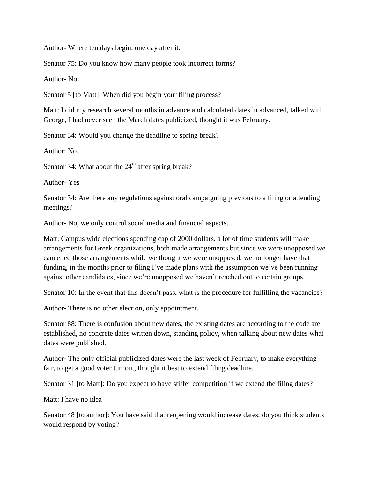Author- Where ten days begin, one day after it.

Senator 75: Do you know how many people took incorrect forms?

Author- No.

Senator 5 [to Matt]: When did you begin your filing process?

Matt: I did my research several months in advance and calculated dates in advanced, talked with George, I had never seen the March dates publicized, thought it was February.

Senator 34: Would you change the deadline to spring break?

Author: No.

Senator 34: What about the  $24<sup>th</sup>$  after spring break?

Author- Yes

Senator 34: Are there any regulations against oral campaigning previous to a filing or attending meetings?

Author- No, we only control social media and financial aspects.

Matt: Campus wide elections spending cap of 2000 dollars, a lot of time students will make arrangements for Greek organizations, both made arrangements but since we were unopposed we cancelled those arrangements while we thought we were unopposed, we no longer have that funding, in the months prior to filing I've made plans with the assumption we've been running against other candidates, since we're unopposed we haven't reached out to certain groups

Senator 10: In the event that this doesn't pass, what is the procedure for fulfilling the vacancies?

Author- There is no other election, only appointment.

Senator 88: There is confusion about new dates, the existing dates are according to the code are established, no concrete dates written down, standing policy, when talking about new dates what dates were published.

Author- The only official publicized dates were the last week of February, to make everything fair, to get a good voter turnout, thought it best to extend filing deadline.

Senator 31 [to Matt]: Do you expect to have stiffer competition if we extend the filing dates?

Matt: I have no idea

Senator 48 [to author]: You have said that reopening would increase dates, do you think students would respond by voting?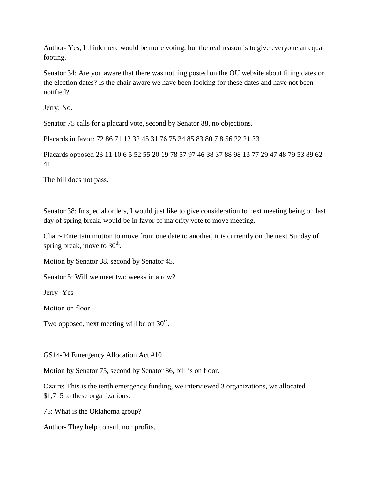Author- Yes, I think there would be more voting, but the real reason is to give everyone an equal footing.

Senator 34: Are you aware that there was nothing posted on the OU website about filing dates or the election dates? Is the chair aware we have been looking for these dates and have not been notified?

Jerry: No.

Senator 75 calls for a placard vote, second by Senator 88, no objections.

Placards in favor: 72 86 71 12 32 45 31 76 75 34 85 83 80 7 8 56 22 21 33

Placards opposed 23 11 10 6 5 52 55 20 19 78 57 97 46 38 37 88 98 13 77 29 47 48 79 53 89 62 41

The bill does not pass.

Senator 38: In special orders, I would just like to give consideration to next meeting being on last day of spring break, would be in favor of majority vote to move meeting.

Chair- Entertain motion to move from one date to another, it is currently on the next Sunday of spring break, move to  $30^{\text{th}}$ .

Motion by Senator 38, second by Senator 45.

Senator 5: Will we meet two weeks in a row?

Jerry- Yes

Motion on floor

Two opposed, next meeting will be on  $30^{\text{th}}$ .

GS14-04 Emergency Allocation Act #10

Motion by Senator 75, second by Senator 86, bill is on floor.

Ozaire: This is the tenth emergency funding, we interviewed 3 organizations, we allocated \$1,715 to these organizations.

75: What is the Oklahoma group?

Author- They help consult non profits.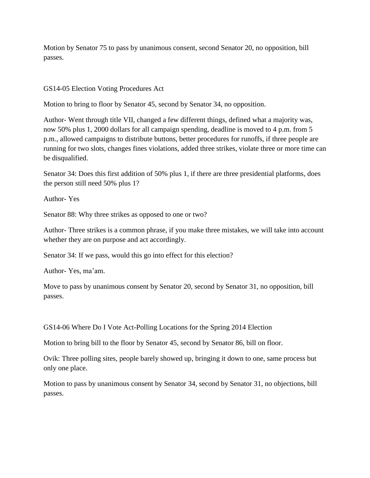Motion by Senator 75 to pass by unanimous consent, second Senator 20, no opposition, bill passes.

GS14-05 Election Voting Procedures Act

Motion to bring to floor by Senator 45, second by Senator 34, no opposition.

Author- Went through title VII, changed a few different things, defined what a majority was, now 50% plus 1, 2000 dollars for all campaign spending, deadline is moved to 4 p.m. from 5 p.m., allowed campaigns to distribute buttons, better procedures for runoffs, if three people are running for two slots, changes fines violations, added three strikes, violate three or more time can be disqualified.

Senator 34: Does this first addition of 50% plus 1, if there are three presidential platforms, does the person still need 50% plus 1?

Author- Yes

Senator 88: Why three strikes as opposed to one or two?

Author- Three strikes is a common phrase, if you make three mistakes, we will take into account whether they are on purpose and act accordingly.

Senator 34: If we pass, would this go into effect for this election?

Author- Yes, ma'am.

Move to pass by unanimous consent by Senator 20, second by Senator 31, no opposition, bill passes.

GS14-06 Where Do I Vote Act-Polling Locations for the Spring 2014 Election

Motion to bring bill to the floor by Senator 45, second by Senator 86, bill on floor.

Ovik: Three polling sites, people barely showed up, bringing it down to one, same process but only one place.

Motion to pass by unanimous consent by Senator 34, second by Senator 31, no objections, bill passes.